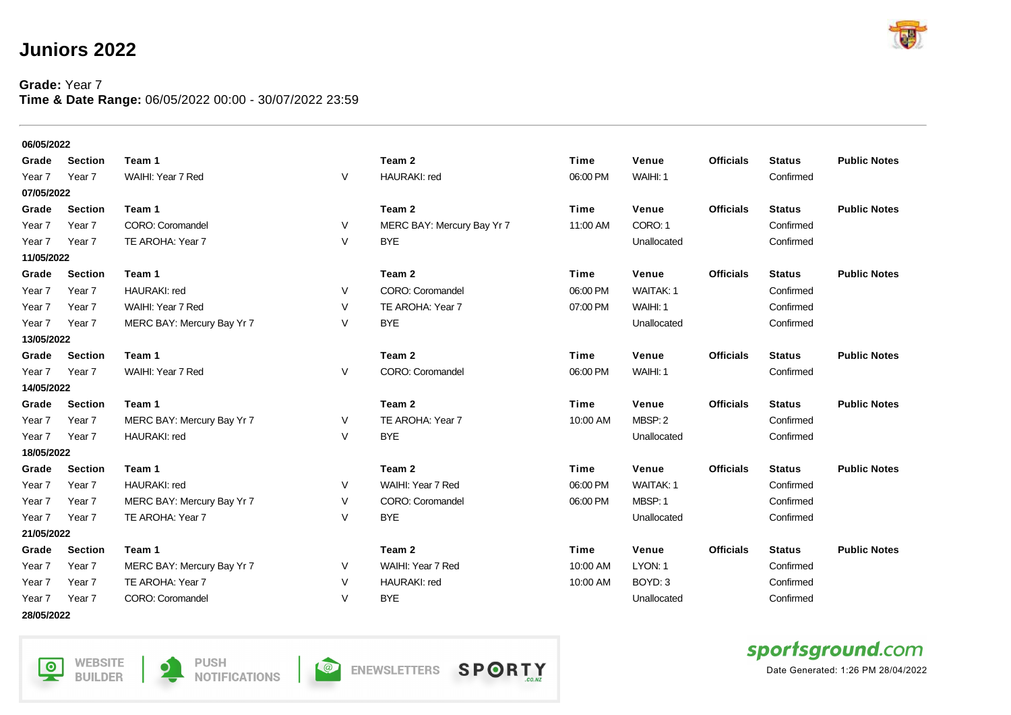## **Juniors 2022**

## **Grade:** Year 7 **Time & Date Range:** 06/05/2022 00:00 - 30/07/2022 23:59



| 06/05/2022        |                |                            |   |                            |             |                  |                  |               |                     |  |  |
|-------------------|----------------|----------------------------|---|----------------------------|-------------|------------------|------------------|---------------|---------------------|--|--|
| Grade             | <b>Section</b> | Team 1                     |   | Team 2                     | Time        | Venue            | <b>Officials</b> | <b>Status</b> | <b>Public Notes</b> |  |  |
| Year 7            | Year 7         | WAIHI: Year 7 Red          | V | <b>HAURAKI: red</b>        | 06:00 PM    | WAIHI: 1         |                  | Confirmed     |                     |  |  |
| 07/05/2022        |                |                            |   |                            |             |                  |                  |               |                     |  |  |
| Grade             | <b>Section</b> | Team 1                     |   | Team 2                     | Time        | Venue            | <b>Officials</b> | <b>Status</b> | <b>Public Notes</b> |  |  |
| Year 7            | Year 7         | CORO: Coromandel           | V | MERC BAY: Mercury Bay Yr 7 | 11:00 AM    | CORO: 1          |                  | Confirmed     |                     |  |  |
| Year 7            | Year 7         | TE AROHA: Year 7           | V | <b>BYE</b>                 |             | Unallocated      |                  | Confirmed     |                     |  |  |
| 11/05/2022        |                |                            |   |                            |             |                  |                  |               |                     |  |  |
| Grade             | <b>Section</b> | Team 1                     |   | Team 2                     | Time        | Venue            | <b>Officials</b> | <b>Status</b> | <b>Public Notes</b> |  |  |
| Year 7            | Year 7         | HAURAKI: red               | V | CORO: Coromandel           | 06:00 PM    | WAITAK: 1        |                  | Confirmed     |                     |  |  |
| Year 7            | Year 7         | WAIHI: Year 7 Red          | V | TE AROHA: Year 7           | 07:00 PM    | WAIHI: 1         |                  | Confirmed     |                     |  |  |
| Year 7            | Year 7         | MERC BAY: Mercury Bay Yr 7 | V | <b>BYE</b>                 |             | Unallocated      |                  | Confirmed     |                     |  |  |
| 13/05/2022        |                |                            |   |                            |             |                  |                  |               |                     |  |  |
| Grade             | <b>Section</b> | Team 1                     |   | Team 2                     | Time        | Venue            | <b>Officials</b> | <b>Status</b> | <b>Public Notes</b> |  |  |
| Year 7            | Year 7         | WAIHI: Year 7 Red          | V | CORO: Coromandel           | 06:00 PM    | WAIHI: 1         |                  | Confirmed     |                     |  |  |
| 14/05/2022        |                |                            |   |                            |             |                  |                  |               |                     |  |  |
| Grade             | <b>Section</b> | Team 1                     |   | Team 2                     | Time        | Venue            | <b>Officials</b> | <b>Status</b> | <b>Public Notes</b> |  |  |
| Year <sub>7</sub> | Year 7         | MERC BAY: Mercury Bay Yr 7 | V | TE AROHA: Year 7           | 10:00 AM    | MBSP: 2          |                  | Confirmed     |                     |  |  |
| Year 7            | Year 7         | <b>HAURAKI: red</b>        | V | <b>BYE</b>                 |             | Unallocated      |                  | Confirmed     |                     |  |  |
| 18/05/2022        |                |                            |   |                            |             |                  |                  |               |                     |  |  |
| Grade             | <b>Section</b> | Team 1                     |   | Team 2                     | <b>Time</b> | Venue            | <b>Officials</b> | <b>Status</b> | <b>Public Notes</b> |  |  |
| Year <sub>7</sub> | Year 7         | HAURAKI: red               | V | WAIHI: Year 7 Red          | 06:00 PM    | <b>WAITAK: 1</b> |                  | Confirmed     |                     |  |  |
| Year <sub>7</sub> | Year 7         | MERC BAY: Mercury Bay Yr 7 | V | CORO: Coromandel           | 06:00 PM    | MBSP: 1          |                  | Confirmed     |                     |  |  |
| Year 7            | Year 7         | TE AROHA: Year 7           | V | <b>BYE</b>                 |             | Unallocated      |                  | Confirmed     |                     |  |  |
| 21/05/2022        |                |                            |   |                            |             |                  |                  |               |                     |  |  |
| Grade             | <b>Section</b> | Team 1                     |   | Team <sub>2</sub>          | Time        | Venue            | <b>Officials</b> | <b>Status</b> | <b>Public Notes</b> |  |  |
| Year 7            | Year 7         | MERC BAY: Mercury Bay Yr 7 | V | WAIHI: Year 7 Red          | 10:00 AM    | LYON: 1          |                  | Confirmed     |                     |  |  |
| Year <sub>7</sub> | Year 7         | TE AROHA: Year 7           | V | <b>HAURAKI: red</b>        | 10:00 AM    | BOYD: 3          |                  | Confirmed     |                     |  |  |
| Year 7            | Year 7         | CORO: Coromandel           | V | <b>BYE</b>                 |             | Unallocated      |                  | Confirmed     |                     |  |  |

**28/05/2022**

**WEBSITE**  $\overline{\mathsf{P}}$ **BUILDER** 



**O** ENEWSLETTERS





Date Generated: 1:26 PM 28/04/2022